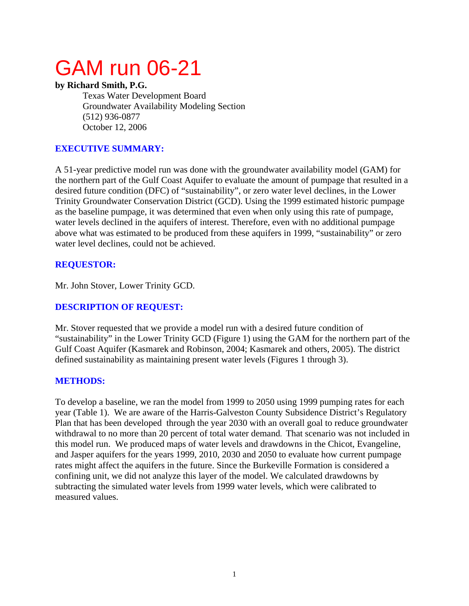# GAM run 06-21

### **by Richard Smith, P.G.**

Texas Water Development Board Groundwater Availability Modeling Section (512) 936-0877 October 12, 2006

## **EXECUTIVE SUMMARY:**

A 51-year predictive model run was done with the groundwater availability model (GAM) for the northern part of the Gulf Coast Aquifer to evaluate the amount of pumpage that resulted in a desired future condition (DFC) of "sustainability", or zero water level declines, in the Lower Trinity Groundwater Conservation District (GCD). Using the 1999 estimated historic pumpage as the baseline pumpage, it was determined that even when only using this rate of pumpage, water levels declined in the aquifers of interest. Therefore, even with no additional pumpage above what was estimated to be produced from these aquifers in 1999, "sustainability" or zero water level declines, could not be achieved.

# **REQUESTOR:**

Mr. John Stover, Lower Trinity GCD.

# **DESCRIPTION OF REQUEST:**

Mr. Stover requested that we provide a model run with a desired future condition of "sustainability" in the Lower Trinity GCD (Figure 1) using the GAM for the northern part of the Gulf Coast Aquifer (Kasmarek and Robinson, 2004; Kasmarek and others, 2005). The district defined sustainability as maintaining present water levels (Figures 1 through 3).

## **METHODS:**

To develop a baseline, we ran the model from 1999 to 2050 using 1999 pumping rates for each year (Table 1). We are aware of the Harris-Galveston County Subsidence District's Regulatory Plan that has been developed through the year 2030 with an overall goal to reduce groundwater withdrawal to no more than 20 percent of total water demand. That scenario was not included in this model run. We produced maps of water levels and drawdowns in the Chicot, Evangeline, and Jasper aquifers for the years 1999, 2010, 2030 and 2050 to evaluate how current pumpage rates might affect the aquifers in the future. Since the Burkeville Formation is considered a confining unit, we did not analyze this layer of the model. We calculated drawdowns by subtracting the simulated water levels from 1999 water levels, which were calibrated to measured values.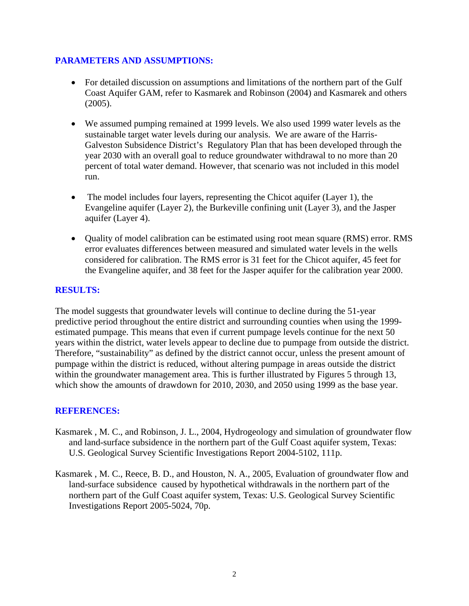## **PARAMETERS AND ASSUMPTIONS:**

- For detailed discussion on assumptions and limitations of the northern part of the Gulf Coast Aquifer GAM, refer to Kasmarek and Robinson (2004) and Kasmarek and others (2005).
- We assumed pumping remained at 1999 levels. We also used 1999 water levels as the sustainable target water levels during our analysis. We are aware of the Harris-Galveston Subsidence District's Regulatory Plan that has been developed through the year 2030 with an overall goal to reduce groundwater withdrawal to no more than 20 percent of total water demand. However, that scenario was not included in this model run.
- The model includes four layers, representing the Chicot aquifer (Layer 1), the Evangeline aquifer (Layer 2), the Burkeville confining unit (Layer 3), and the Jasper aquifer (Layer 4).
- Quality of model calibration can be estimated using root mean square (RMS) error. RMS error evaluates differences between measured and simulated water levels in the wells considered for calibration. The RMS error is 31 feet for the Chicot aquifer, 45 feet for the Evangeline aquifer, and 38 feet for the Jasper aquifer for the calibration year 2000.

# **RESULTS:**

The model suggests that groundwater levels will continue to decline during the 51-year predictive period throughout the entire district and surrounding counties when using the 1999 estimated pumpage. This means that even if current pumpage levels continue for the next 50 years within the district, water levels appear to decline due to pumpage from outside the district. Therefore, "sustainability" as defined by the district cannot occur, unless the present amount of pumpage within the district is reduced, without altering pumpage in areas outside the district within the groundwater management area. This is further illustrated by Figures 5 through 13, which show the amounts of drawdown for 2010, 2030, and 2050 using 1999 as the base year.

## **REFERENCES:**

- Kasmarek , M. C., and Robinson, J. L., 2004, Hydrogeology and simulation of groundwater flow and land-surface subsidence in the northern part of the Gulf Coast aquifer system, Texas: U.S. Geological Survey Scientific Investigations Report 2004-5102, 111p.
- Kasmarek , M. C., Reece, B. D., and Houston, N. A., 2005, Evaluation of groundwater flow and land-surface subsidence caused by hypothetical withdrawals in the northern part of the northern part of the Gulf Coast aquifer system, Texas: U.S. Geological Survey Scientific Investigations Report 2005-5024, 70p.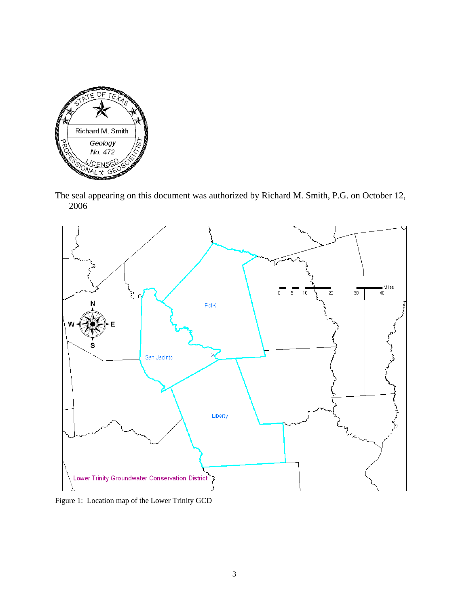

The seal appearing on this document was authorized by Richard M. Smith, P.G. on October 12, 2006



Figure 1: Location map of the Lower Trinity GCD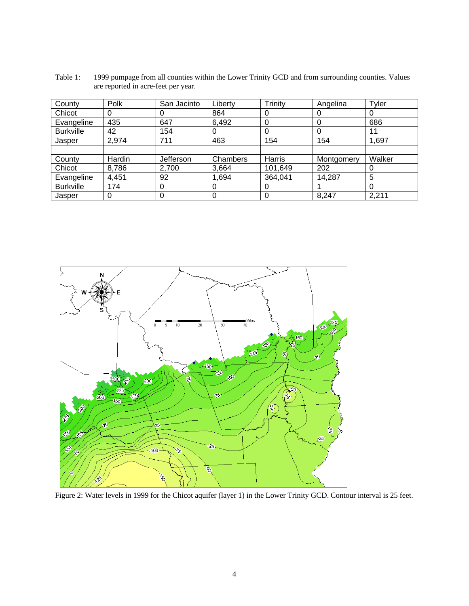Table 1: 1999 pumpage from all counties within the Lower Trinity GCD and from surrounding counties. Values are reported in acre-feet per year.

| County           | Polk   | San Jacinto | Liberty  | Trinity | Angelina   | Tyler  |
|------------------|--------|-------------|----------|---------|------------|--------|
| Chicot           | 0      | O           | 864      | 0       | U          |        |
| Evangeline       | 435    | 647         | 6,492    | 0       | 0          | 686    |
| <b>Burkville</b> | 42     | 154         |          | 0       | 0          | 11     |
| Jasper           | 2,974  | 711         | 463      | 154     | 154        | 1,697  |
|                  |        |             |          |         |            |        |
| County           | Hardin | Jefferson   | Chambers | Harris  | Montgomery | Walker |
| Chicot           | 8,786  | 2,700       | 3,664    | 101,649 | 202        |        |
| Evangeline       | 4,451  | 92          | 1,694    | 364,041 | 14,287     | 5      |
| <b>Burkville</b> | 174    | $\Omega$    | O        | 0       |            | O      |
| Jasper           | 0      |             |          |         | 8,247      | 2,211  |



Figure 2: Water levels in 1999 for the Chicot aquifer (layer 1) in the Lower Trinity GCD. Contour interval is 25 feet.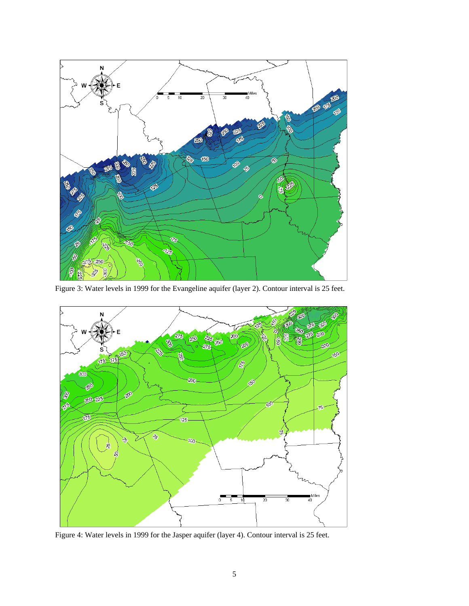

Figure 3: Water levels in 1999 for the Evangeline aquifer (layer 2). Contour interval is 25 feet.



Figure 4: Water levels in 1999 for the Jasper aquifer (layer 4). Contour interval is 25 feet.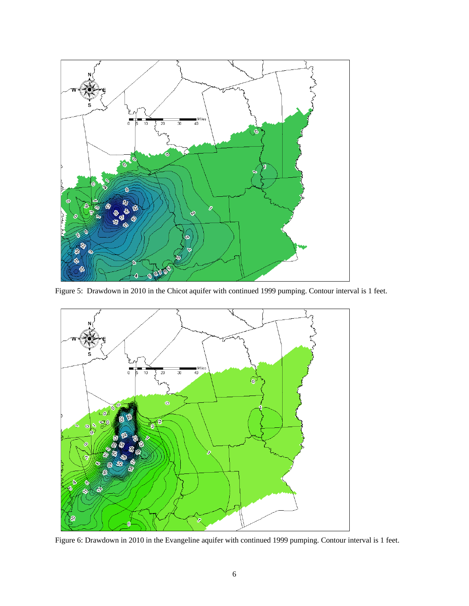

Figure 5: Drawdown in 2010 in the Chicot aquifer with continued 1999 pumping. Contour interval is 1 feet.



Figure 6: Drawdown in 2010 in the Evangeline aquifer with continued 1999 pumping. Contour interval is 1 feet.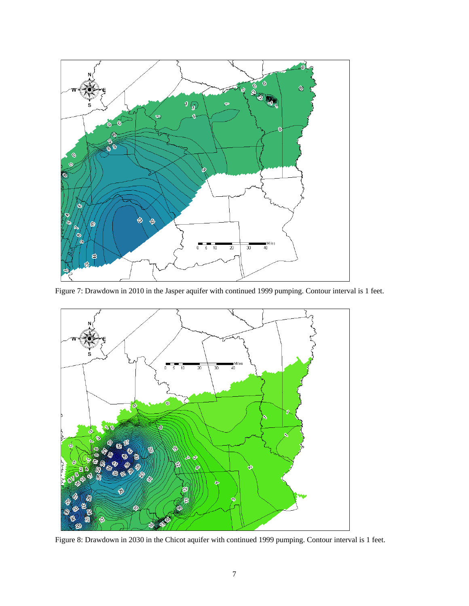

Figure 7: Drawdown in 2010 in the Jasper aquifer with continued 1999 pumping. Contour interval is 1 feet.



Figure 8: Drawdown in 2030 in the Chicot aquifer with continued 1999 pumping. Contour interval is 1 feet.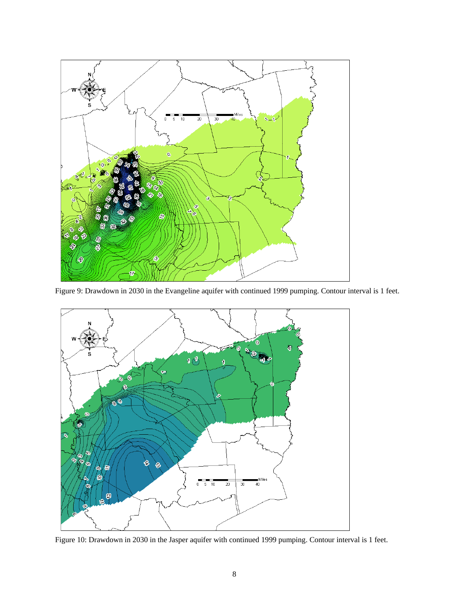

Figure 9: Drawdown in 2030 in the Evangeline aquifer with continued 1999 pumping. Contour interval is 1 feet.



Figure 10: Drawdown in 2030 in the Jasper aquifer with continued 1999 pumping. Contour interval is 1 feet.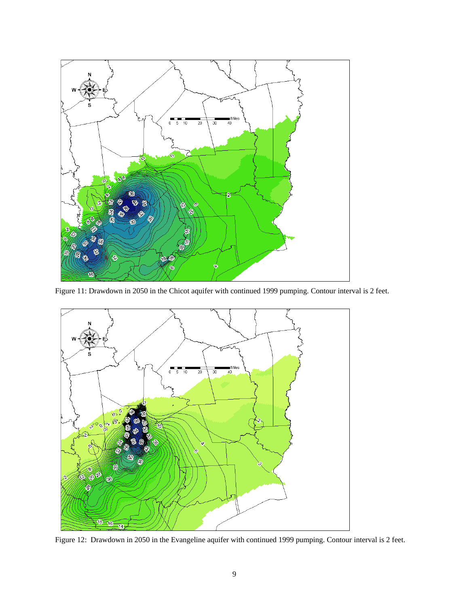

Figure 11: Drawdown in 2050 in the Chicot aquifer with continued 1999 pumping. Contour interval is 2 feet.



Figure 12: Drawdown in 2050 in the Evangeline aquifer with continued 1999 pumping. Contour interval is 2 feet.